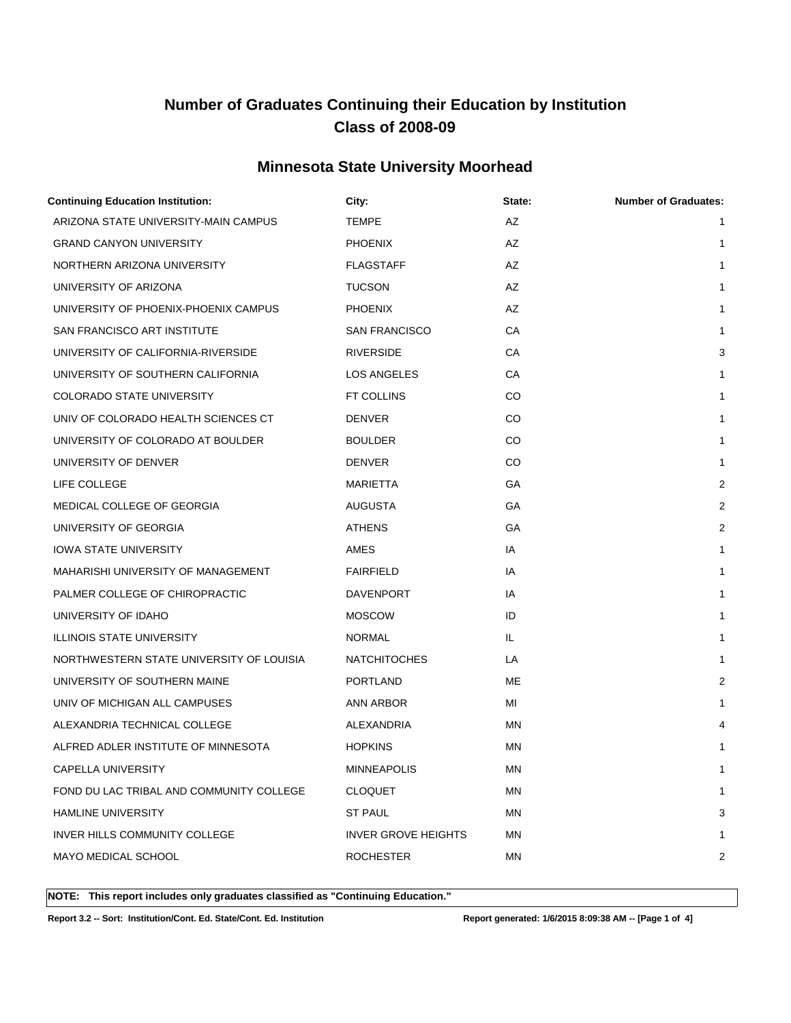### **Minnesota State University Moorhead**

| <b>Continuing Education Institution:</b> | City:                      | State:    | <b>Number of Graduates:</b> |
|------------------------------------------|----------------------------|-----------|-----------------------------|
| ARIZONA STATE UNIVERSITY-MAIN CAMPUS     | <b>TEMPE</b>               | AZ        | $\mathbf{1}$                |
| <b>GRAND CANYON UNIVERSITY</b>           | <b>PHOENIX</b>             | AZ        | 1                           |
| NORTHERN ARIZONA UNIVERSITY              | <b>FLAGSTAFF</b>           | AZ        | $\mathbf{1}$                |
| UNIVERSITY OF ARIZONA                    | <b>TUCSON</b>              | AZ        | 1                           |
| UNIVERSITY OF PHOENIX-PHOENIX CAMPUS     | <b>PHOENIX</b>             | AZ        | $\mathbf{1}$                |
| SAN FRANCISCO ART INSTITUTE              | <b>SAN FRANCISCO</b>       | СA        | $\mathbf{1}$                |
| UNIVERSITY OF CALIFORNIA-RIVERSIDE       | <b>RIVERSIDE</b>           | СA        | 3                           |
| UNIVERSITY OF SOUTHERN CALIFORNIA        | LOS ANGELES                | СA        | $\mathbf{1}$                |
| COLORADO STATE UNIVERSITY                | FT COLLINS                 | CO        | 1                           |
| UNIV OF COLORADO HEALTH SCIENCES CT      | <b>DENVER</b>              | CO        | 1                           |
| UNIVERSITY OF COLORADO AT BOULDER        | <b>BOULDER</b>             | CO        | 1                           |
| UNIVERSITY OF DENVER                     | <b>DENVER</b>              | CO        | 1                           |
| LIFE COLLEGE                             | <b>MARIETTA</b>            | GА        | 2                           |
| MEDICAL COLLEGE OF GEORGIA               | <b>AUGUSTA</b>             | GA        | 2                           |
| UNIVERSITY OF GEORGIA                    | <b>ATHENS</b>              | GА        | 2                           |
| <b>IOWA STATE UNIVERSITY</b>             | AMES                       | IA        | 1                           |
| MAHARISHI UNIVERSITY OF MANAGEMENT       | <b>FAIRFIELD</b>           | IA        | $\mathbf{1}$                |
| PALMER COLLEGE OF CHIROPRACTIC           | DAVENPORT                  | IA        | 1                           |
| UNIVERSITY OF IDAHO                      | <b>MOSCOW</b>              | ID        | 1                           |
| <b>ILLINOIS STATE UNIVERSITY</b>         | <b>NORMAL</b>              | IL.       | 1                           |
| NORTHWESTERN STATE UNIVERSITY OF LOUISIA | <b>NATCHITOCHES</b>        | LA        | 1                           |
| UNIVERSITY OF SOUTHERN MAINE             | <b>PORTLAND</b>            | ME        | 2                           |
| UNIV OF MICHIGAN ALL CAMPUSES            | ANN ARBOR                  | MI        | 1                           |
| ALEXANDRIA TECHNICAL COLLEGE             | ALEXANDRIA                 | MN        | 4                           |
| ALFRED ADLER INSTITUTE OF MINNESOTA      | <b>HOPKINS</b>             | ΜN        | 1                           |
| CAPELLA UNIVERSITY                       | <b>MINNEAPOLIS</b>         | <b>MN</b> |                             |
| FOND DU LAC TRIBAL AND COMMUNITY COLLEGE | <b>CLOQUET</b>             | ΜN        | 1                           |
| <b>HAMLINE UNIVERSITY</b>                | <b>ST PAUL</b>             | ΜN        | 3                           |
| INVER HILLS COMMUNITY COLLEGE            | <b>INVER GROVE HEIGHTS</b> | ΜN        | 1                           |
| MAYO MEDICAL SCHOOL                      | <b>ROCHESTER</b>           | MN        | 2                           |
|                                          |                            |           |                             |

**NOTE: This report includes only graduates classified as "Continuing Education."** 

**Report 3.2 -- Sort: Institution/Cont. Ed. State/Cont. Ed. Institution Report generated: 1/6/2015 8:09:38 AM -- [Page 1 of 4]**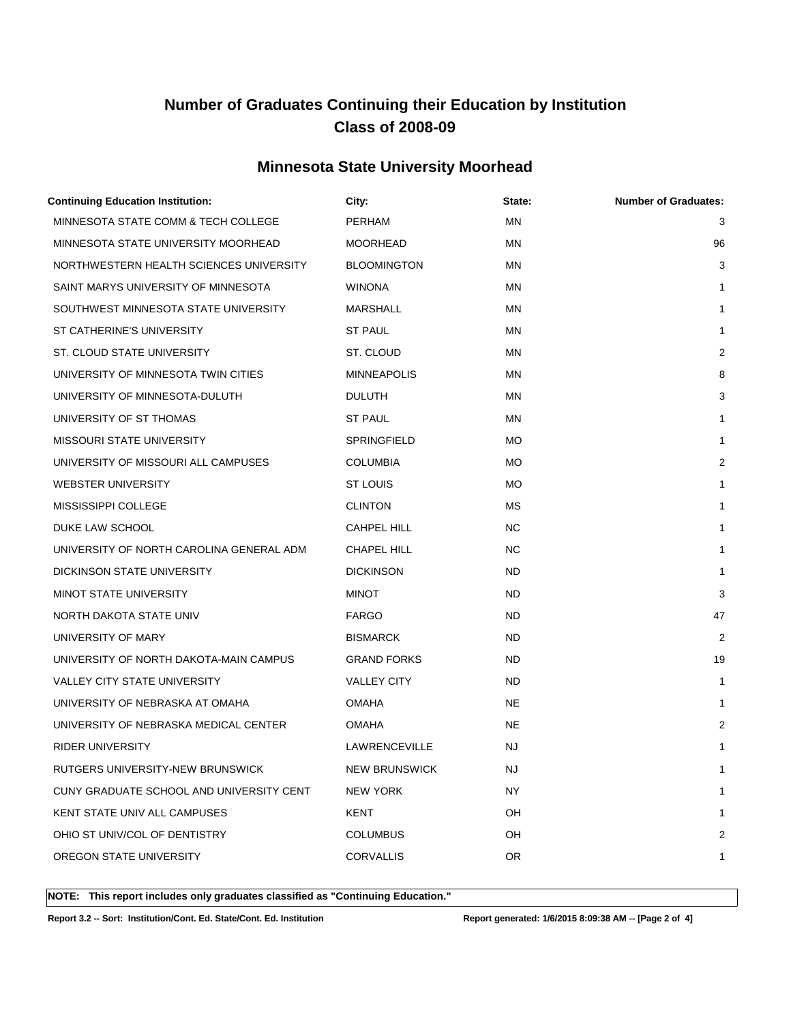### **Minnesota State University Moorhead**

| <b>Continuing Education Institution:</b> | City:                | State:    | <b>Number of Graduates:</b> |
|------------------------------------------|----------------------|-----------|-----------------------------|
| MINNESOTA STATE COMM & TECH COLLEGE      | PERHAM               | <b>MN</b> | 3                           |
| MINNESOTA STATE UNIVERSITY MOORHEAD      | <b>MOORHEAD</b>      | MN        | 96                          |
| NORTHWESTERN HEALTH SCIENCES UNIVERSITY  | <b>BLOOMINGTON</b>   | <b>MN</b> | 3                           |
| SAINT MARYS UNIVERSITY OF MINNESOTA      | <b>WINONA</b>        | ΜN        | 1                           |
| SOUTHWEST MINNESOTA STATE UNIVERSITY     | MARSHALL             | MN        | 1                           |
| ST CATHERINE'S UNIVERSITY                | <b>ST PAUL</b>       | <b>MN</b> | 1                           |
| ST. CLOUD STATE UNIVERSITY               | ST. CLOUD            | MN        | 2                           |
| UNIVERSITY OF MINNESOTA TWIN CITIES      | <b>MINNEAPOLIS</b>   | ΜN        | 8                           |
| UNIVERSITY OF MINNESOTA-DULUTH           | <b>DULUTH</b>        | <b>MN</b> | 3                           |
| UNIVERSITY OF ST THOMAS                  | <b>ST PAUL</b>       | ΜN        | 1                           |
| <b>MISSOURI STATE UNIVERSITY</b>         | SPRINGFIELD          | МO        | 1                           |
| UNIVERSITY OF MISSOURI ALL CAMPUSES      | <b>COLUMBIA</b>      | <b>MO</b> | 2                           |
| <b>WEBSTER UNIVERSITY</b>                | ST LOUIS             | МO        | 1                           |
| MISSISSIPPI COLLEGE                      | <b>CLINTON</b>       | МS        | 1                           |
| DUKE LAW SCHOOL                          | CAHPEL HILL          | NC.       | $\mathbf{1}$                |
| UNIVERSITY OF NORTH CAROLINA GENERAL ADM | CHAPEL HILL          | NC.       | 1                           |
| DICKINSON STATE UNIVERSITY               | <b>DICKINSON</b>     | ND.       | 1                           |
| <b>MINOT STATE UNIVERSITY</b>            | <b>MINOT</b>         | <b>ND</b> | 3                           |
| NORTH DAKOTA STATE UNIV                  | <b>FARGO</b>         | ND.       | 47                          |
| UNIVERSITY OF MARY                       | <b>BISMARCK</b>      | ND.       | 2                           |
| UNIVERSITY OF NORTH DAKOTA-MAIN CAMPUS   | <b>GRAND FORKS</b>   | ND.       | 19                          |
| <b>VALLEY CITY STATE UNIVERSITY</b>      | <b>VALLEY CITY</b>   | ND.       | 1                           |
| UNIVERSITY OF NEBRASKA AT OMAHA          | <b>OMAHA</b>         | <b>NE</b> | 1                           |
| UNIVERSITY OF NEBRASKA MEDICAL CENTER    | <b>OMAHA</b>         | <b>NE</b> | 2                           |
| <b>RIDER UNIVERSITY</b>                  | LAWRENCEVILLE        | NJ.       | 1                           |
| RUTGERS UNIVERSITY-NEW BRUNSWICK         | <b>NEW BRUNSWICK</b> | NJ.       | 1                           |
| CUNY GRADUATE SCHOOL AND UNIVERSITY CENT | <b>NEW YORK</b>      | NY.       | 1                           |
| KENT STATE UNIV ALL CAMPUSES             | KENT                 | OH        | 1                           |
| OHIO ST UNIV/COL OF DENTISTRY            | <b>COLUMBUS</b>      | OH        | 2                           |
| OREGON STATE UNIVERSITY                  | <b>CORVALLIS</b>     | OR        | 1                           |
|                                          |                      |           |                             |

**NOTE: This report includes only graduates classified as "Continuing Education."** 

**Report 3.2 -- Sort: Institution/Cont. Ed. State/Cont. Ed. Institution Report generated: 1/6/2015 8:09:38 AM -- [Page 2 of 4]**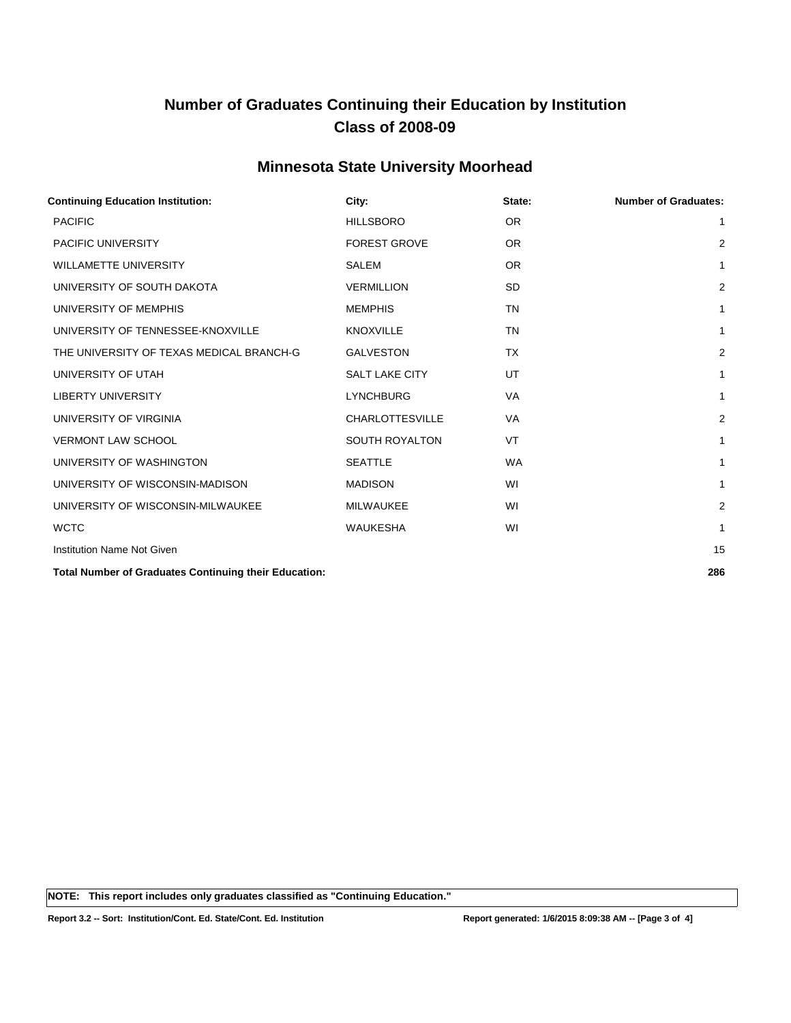### **Minnesota State University Moorhead**

| <b>Continuing Education Institution:</b>                     | City:                  | State:    | <b>Number of Graduates:</b> |
|--------------------------------------------------------------|------------------------|-----------|-----------------------------|
| <b>PACIFIC</b>                                               | <b>HILLSBORO</b>       | <b>OR</b> | 1                           |
| <b>PACIFIC UNIVERSITY</b>                                    | <b>FOREST GROVE</b>    | <b>OR</b> | $\overline{2}$              |
| <b>WILLAMETTE UNIVERSITY</b>                                 | <b>SALEM</b>           | <b>OR</b> | 1                           |
| UNIVERSITY OF SOUTH DAKOTA                                   | <b>VERMILLION</b>      | <b>SD</b> | $\overline{2}$              |
| UNIVERSITY OF MEMPHIS                                        | <b>MEMPHIS</b>         | <b>TN</b> | 1                           |
| UNIVERSITY OF TENNESSEE-KNOXVILLE                            | <b>KNOXVILLE</b>       | <b>TN</b> | 1                           |
| THE UNIVERSITY OF TEXAS MEDICAL BRANCH-G                     | <b>GALVESTON</b>       | <b>TX</b> | 2                           |
| UNIVERSITY OF UTAH                                           | <b>SALT LAKE CITY</b>  | UT        | 1                           |
| <b>LIBERTY UNIVERSITY</b>                                    | <b>LYNCHBURG</b>       | VA        | 1                           |
| UNIVERSITY OF VIRGINIA                                       | <b>CHARLOTTESVILLE</b> | <b>VA</b> | $\overline{2}$              |
| <b>VERMONT LAW SCHOOL</b>                                    | <b>SOUTH ROYALTON</b>  | <b>VT</b> | 1                           |
| UNIVERSITY OF WASHINGTON                                     | <b>SEATTLE</b>         | <b>WA</b> | 1                           |
| UNIVERSITY OF WISCONSIN-MADISON                              | <b>MADISON</b>         | WI        | 1                           |
| UNIVERSITY OF WISCONSIN-MILWAUKEE                            | <b>MILWAUKEE</b>       | WI        | $\overline{2}$              |
| <b>WCTC</b>                                                  | <b>WAUKESHA</b>        | WI        | 1                           |
| <b>Institution Name Not Given</b>                            |                        |           | 15                          |
| <b>Total Number of Graduates Continuing their Education:</b> |                        |           | 286                         |

**NOTE: This report includes only graduates classified as "Continuing Education."**